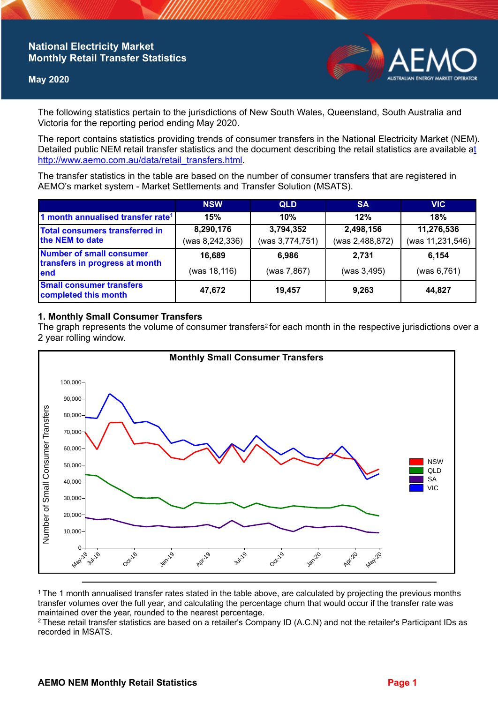# **National Electricity Market Monthly Retail Transfer Statistics**

## **May 2020**



The following statistics pertain to the jurisdictions of New South Wales, Queensland, South Australia and Victoria for the reporting period ending May 2020.

The report contains statistics providing trends of consumer transfers in the National Electricity Market (NEM). Detailed public NEM retail transfer statistics and the document describing the retail statistics are available a[t](http://www.aemo.com.au/data/retail_transfers.html)  http://www.aemo.com.au/data/retail\_transfers.html

The transfer statistics in the table are based on the number of consumer transfers that are registered in AEMO's market system - Market Settlements and Transfer Solution (MSATS).

|                                                                    | <b>NSW</b>                   | <b>QLD</b>                   | <b>SA</b>                    | <b>VIC</b>                     |
|--------------------------------------------------------------------|------------------------------|------------------------------|------------------------------|--------------------------------|
| 1 month annualised transfer rate <sup>1</sup>                      | 15%                          | 10%                          | 12%                          | 18%                            |
| Total consumers transferred in<br>the NEM to date                  | 8,290,176<br>(was 8,242,336) | 3,794,352<br>(was 3,774,751) | 2,498,156<br>(was 2,488,872) | 11,276,536<br>(was 11,231,546) |
| Number of small consumer<br>transfers in progress at month<br>lend | 16,689<br>(was 18,116)       | 6,986<br>(was 7,867)         | 2.731<br>(was 3,495)         | 6,154<br>(was 6, 761)          |
| <b>Small consumer transfers</b><br>completed this month            | 47,672                       | 19,457                       | 9,263                        | 44,827                         |

## **1. Monthly Small Consumer Transfers**

The graph represents the volume of consumer transfers<sup>2</sup> for each month in the respective jurisdictions over a 2 year rolling window.



<sup>1</sup>The 1 month annualised transfer rates stated in the table above, are calculated by projecting the previous months transfer volumes over the full year, and calculating the percentage churn that would occur if the transfer rate was maintained over the year, rounded to the nearest percentage.

<sup>2</sup> These retail transfer statistics are based on a retailer's Company ID (A.C.N) and not the retailer's Participant IDs as recorded in MSATS.